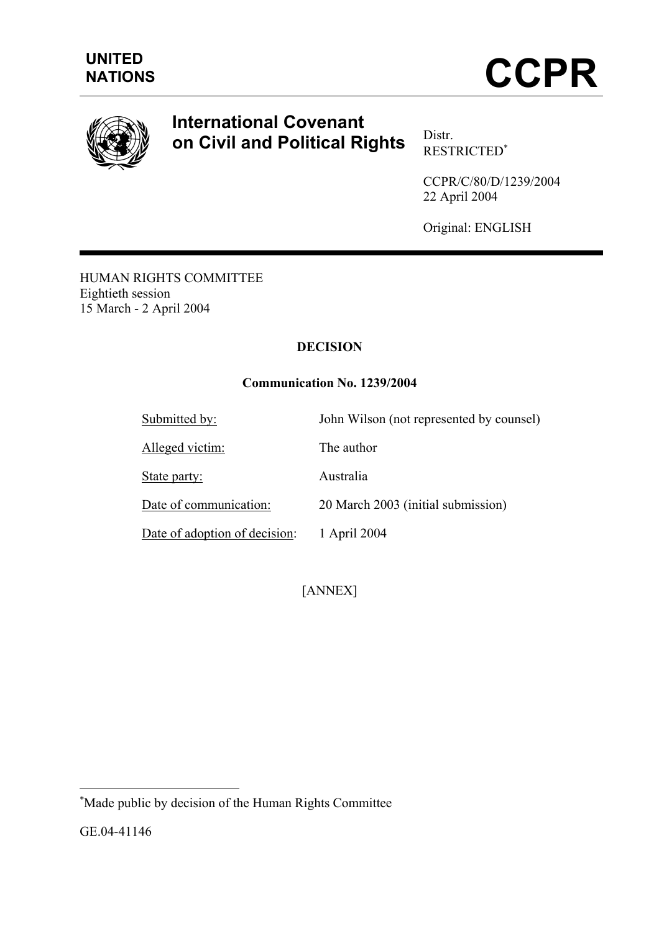



# **International Covenant on Civil and Political Rights** Distr.

RESTRICTED[∗](#page-0-0)

CCPR/C/80/D/1239/2004 22 April 2004

Original: ENGLISH

HUMAN RIGHTS COMMITTEE Eightieth session 15 March - 2 April 2004

# **DECISION**

# **Communication No. 1239/2004**

| Submitted by:                 | John Wilson (not represented by counsel) |
|-------------------------------|------------------------------------------|
| Alleged victim:               | The author                               |
| State party:                  | Australia                                |
| Date of communication:        | 20 March 2003 (initial submission)       |
| Date of adoption of decision: | 1 April 2004                             |

[ANNEX]

GE.04-41146

 $\overline{a}$ 

<span id="page-0-0"></span><sup>∗</sup> Made public by decision of the Human Rights Committee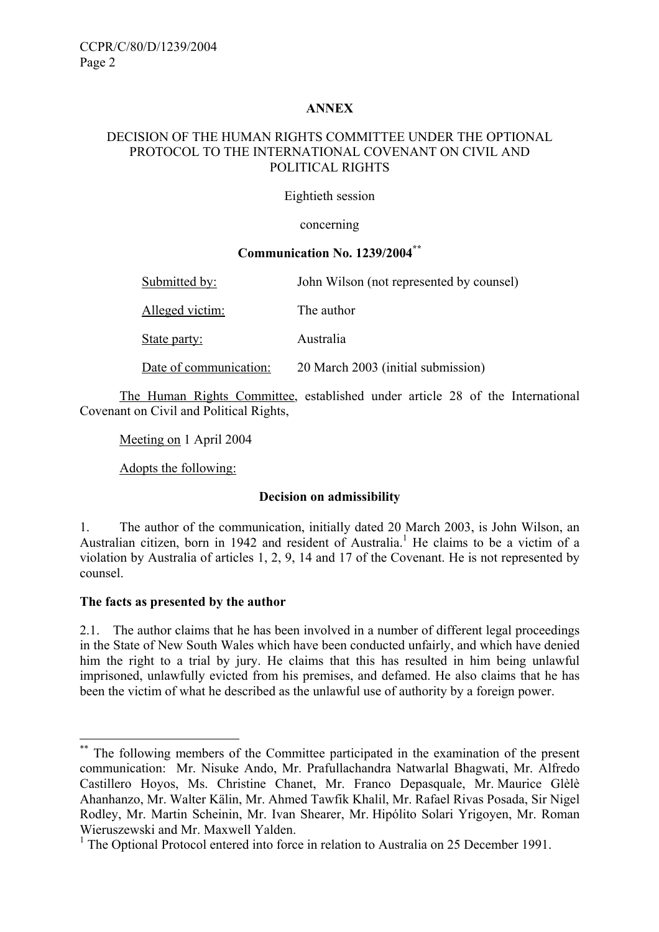## **ANNEX**

## DECISION OF THE HUMAN RIGHTS COMMITTEE UNDER THE OPTIONAL PROTOCOL TO THE INTERNATIONAL COVENANT ON CIVIL AND POLITICAL RIGHTS

#### Eightieth session

concerning

#### **Communication No. 1239/2004[\\*\\*](#page-1-0)**

| Submitted by:          | John Wilson (not represented by counsel) |
|------------------------|------------------------------------------|
| Alleged victim:        | The author                               |
| State party:           | Australia                                |
| Date of communication: | 20 March 2003 (initial submission)       |

The Human Rights Committee, established under article 28 of the International Covenant on Civil and Political Rights,

Meeting on 1 April 2004

Adopts the following:

#### **Decision on admissibility**

1. The author of the communication, initially dated 20 March 2003, is John Wilson, an Australian citizen, born in [1](#page-1-1)942 and resident of Australia.<sup>1</sup> He claims to be a victim of a violation by Australia of articles 1, 2, 9, 14 and 17 of the Covenant. He is not represented by counsel.

#### **The facts as presented by the author**

 $\overline{a}$ 

2.1. The author claims that he has been involved in a number of different legal proceedings in the State of New South Wales which have been conducted unfairly, and which have denied him the right to a trial by jury. He claims that this has resulted in him being unlawful imprisoned, unlawfully evicted from his premises, and defamed. He also claims that he has been the victim of what he described as the unlawful use of authority by a foreign power.

<span id="page-1-0"></span>The following members of the Committee participated in the examination of the present communication: Mr. Nisuke Ando, Mr. Prafullachandra Natwarlal Bhagwati, Mr. Alfredo Castillero Hoyos, Ms. Christine Chanet, Mr. Franco Depasquale, Mr. Maurice Glèlè Ahanhanzo, Mr. Walter Kälin, Mr. Ahmed Tawfik Khalil, Mr. Rafael Rivas Posada, Sir Nigel Rodley, Mr. Martin Scheinin, Mr. Ivan Shearer, Mr. Hipólito Solari Yrigoyen, Mr. Roman Wieruszewski and Mr. Maxwell Yalden.

<span id="page-1-1"></span><sup>&</sup>lt;sup>1</sup> The Optional Protocol entered into force in relation to Australia on 25 December 1991.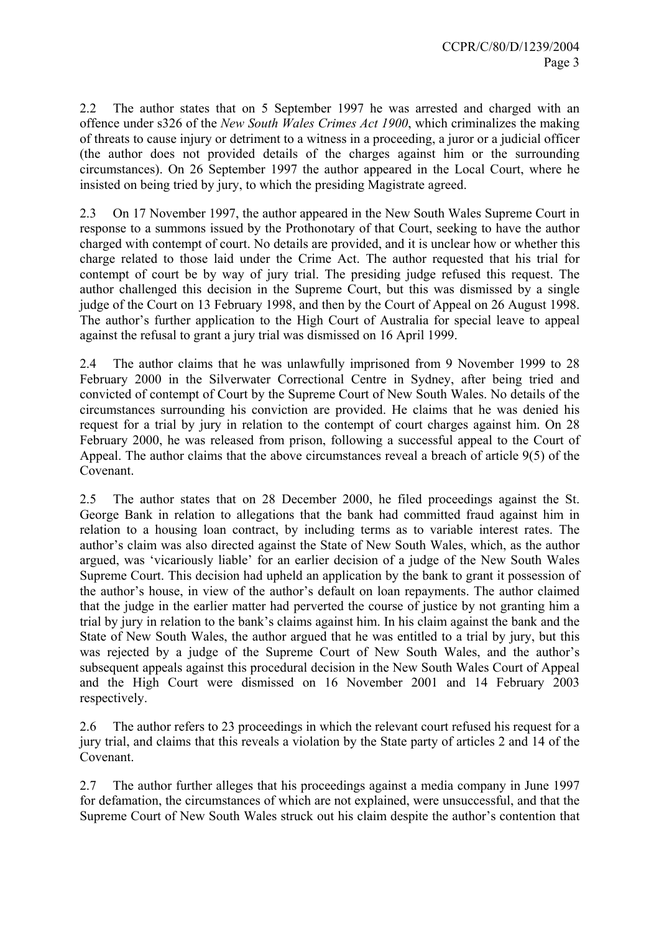2.2 The author states that on 5 September 1997 he was arrested and charged with an offence under s326 of the *New South Wales Crimes Act 1900*, which criminalizes the making of threats to cause injury or detriment to a witness in a proceeding, a juror or a judicial officer (the author does not provided details of the charges against him or the surrounding circumstances). On 26 September 1997 the author appeared in the Local Court, where he insisted on being tried by jury, to which the presiding Magistrate agreed.

2.3 On 17 November 1997, the author appeared in the New South Wales Supreme Court in response to a summons issued by the Prothonotary of that Court, seeking to have the author charged with contempt of court. No details are provided, and it is unclear how or whether this charge related to those laid under the Crime Act. The author requested that his trial for contempt of court be by way of jury trial. The presiding judge refused this request. The author challenged this decision in the Supreme Court, but this was dismissed by a single judge of the Court on 13 February 1998, and then by the Court of Appeal on 26 August 1998. The author's further application to the High Court of Australia for special leave to appeal against the refusal to grant a jury trial was dismissed on 16 April 1999.

2.4 The author claims that he was unlawfully imprisoned from 9 November 1999 to 28 February 2000 in the Silverwater Correctional Centre in Sydney, after being tried and convicted of contempt of Court by the Supreme Court of New South Wales. No details of the circumstances surrounding his conviction are provided. He claims that he was denied his request for a trial by jury in relation to the contempt of court charges against him. On 28 February 2000, he was released from prison, following a successful appeal to the Court of Appeal. The author claims that the above circumstances reveal a breach of article 9(5) of the Covenant.

2.5 The author states that on 28 December 2000, he filed proceedings against the St. George Bank in relation to allegations that the bank had committed fraud against him in relation to a housing loan contract, by including terms as to variable interest rates. The author's claim was also directed against the State of New South Wales, which, as the author argued, was 'vicariously liable' for an earlier decision of a judge of the New South Wales Supreme Court. This decision had upheld an application by the bank to grant it possession of the author's house, in view of the author's default on loan repayments. The author claimed that the judge in the earlier matter had perverted the course of justice by not granting him a trial by jury in relation to the bank's claims against him. In his claim against the bank and the State of New South Wales, the author argued that he was entitled to a trial by jury, but this was rejected by a judge of the Supreme Court of New South Wales, and the author's subsequent appeals against this procedural decision in the New South Wales Court of Appeal and the High Court were dismissed on 16 November 2001 and 14 February 2003 respectively.

2.6 The author refers to 23 proceedings in which the relevant court refused his request for a jury trial, and claims that this reveals a violation by the State party of articles 2 and 14 of the Covenant.

2.7 The author further alleges that his proceedings against a media company in June 1997 for defamation, the circumstances of which are not explained, were unsuccessful, and that the Supreme Court of New South Wales struck out his claim despite the author's contention that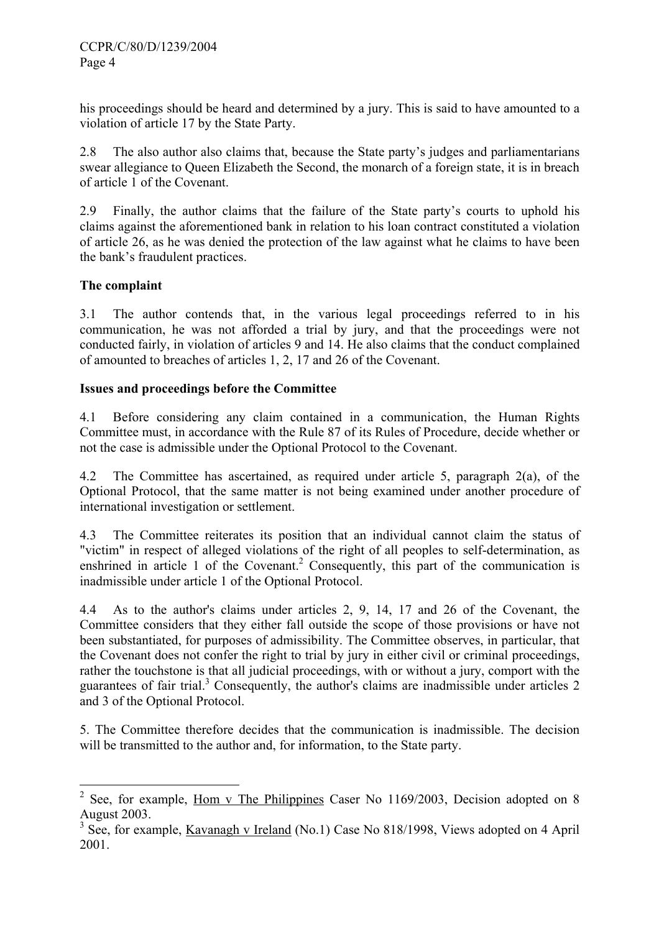his proceedings should be heard and determined by a jury. This is said to have amounted to a violation of article 17 by the State Party.

2.8 The also author also claims that, because the State party's judges and parliamentarians swear allegiance to Queen Elizabeth the Second, the monarch of a foreign state, it is in breach of article 1 of the Covenant.

2.9 Finally, the author claims that the failure of the State party's courts to uphold his claims against the aforementioned bank in relation to his loan contract constituted a violation of article 26, as he was denied the protection of the law against what he claims to have been the bank's fraudulent practices.

# **The complaint**

3.1 The author contends that, in the various legal proceedings referred to in his communication, he was not afforded a trial by jury, and that the proceedings were not conducted fairly, in violation of articles 9 and 14. He also claims that the conduct complained of amounted to breaches of articles 1, 2, 17 and 26 of the Covenant.

## **Issues and proceedings before the Committee**

4.1 Before considering any claim contained in a communication, the Human Rights Committee must, in accordance with the Rule 87 of its Rules of Procedure, decide whether or not the case is admissible under the Optional Protocol to the Covenant.

4.2 The Committee has ascertained, as required under article 5, paragraph 2(a), of the Optional Protocol, that the same matter is not being examined under another procedure of international investigation or settlement.

4.3 The Committee reiterates its position that an individual cannot claim the status of "victim" in respect of alleged violations of the right of all peoples to self-determination, as enshrined in article 1 of the Covenant.<sup>[2](#page-3-0)</sup> Consequently, this part of the communication is inadmissible under article 1 of the Optional Protocol.

4.4 As to the author's claims under articles 2, 9, 14, 17 and 26 of the Covenant, the Committee considers that they either fall outside the scope of those provisions or have not been substantiated, for purposes of admissibility. The Committee observes, in particular, that the Covenant does not confer the right to trial by jury in either civil or criminal proceedings, rather the touchstone is that all judicial proceedings, with or without a jury, comport with the guarantees of fair trial.<sup>3</sup> Consequently, the author's claims are inadmissible under articles  $2$ and 3 of the Optional Protocol.

5. The Committee therefore decides that the communication is inadmissible. The decision will be transmitted to the author and, for information, to the State party.

<span id="page-3-0"></span><sup>&</sup>lt;sup>2</sup> See, for example, Hom v The Philippines Caser No 1169/2003, Decision adopted on 8 August 2003.

<span id="page-3-1"></span><sup>&</sup>lt;sup>3</sup> See, for example, <u>Kavanagh v Ireland</u> (No.1) Case No 818/1998, Views adopted on 4 April 2001.